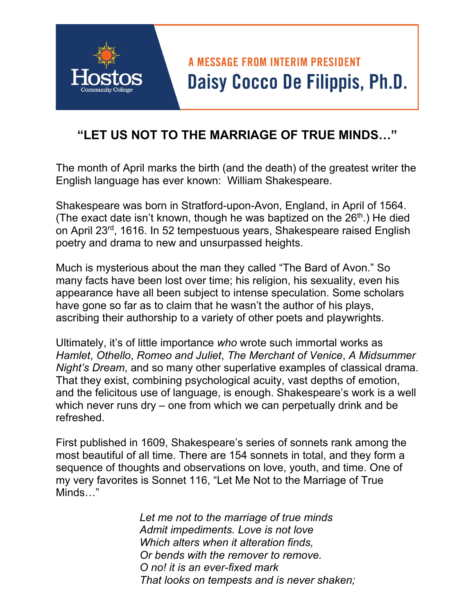## **A MESSAGE FROM INTERIM PRESIDENT** Daisy Cocco De Filippis, Ph.D.

## **"LET US NOT TO THE MARRIAGE OF TRUE MINDS…"**

The month of April marks the birth (and the death) of the greatest writer the English language has ever known: William Shakespeare.

Shakespeare was born in Stratford-upon-Avon, England, in April of 1564. (The exact date isn't known, though he was baptized on the  $26<sup>th</sup>$ .) He died on April 23rd, 1616. In 52 tempestuous years, Shakespeare raised English poetry and drama to new and unsurpassed heights.

Much is mysterious about the man they called "The Bard of Avon." So many facts have been lost over time; his religion, his sexuality, even his appearance have all been subject to intense speculation. Some scholars have gone so far as to claim that he wasn't the author of his plays, ascribing their authorship to a variety of other poets and playwrights.

 *Hamlet*, *Othello*, *Romeo and Juliet*, *The Merchant of Venice*, *A Midsummer*  Ultimately, it's of little importance *who* wrote such immortal works as *Night's Dream*, and so many other superlative examples of classical drama. That they exist, combining psychological acuity, vast depths of emotion, and the felicitous use of language, is enough. Shakespeare's work is a well which never runs dry – one from which we can perpetually drink and be refreshed.

First published in 1609, Shakespeare's series of sonnets rank among the most beautiful of all time. There are 154 sonnets in total, and they form a sequence of thoughts and observations on love, youth, and time. One of my very favorites is Sonnet 116, "Let Me Not to the Marriage of True Minds…"

> *Let me not to the marriage of true minds Admit impediments. Love is not love Which alters when it alteration finds, Or bends with the remover to remove. O no! it is an ever-fixed mark That looks on tempests and is never shaken;*